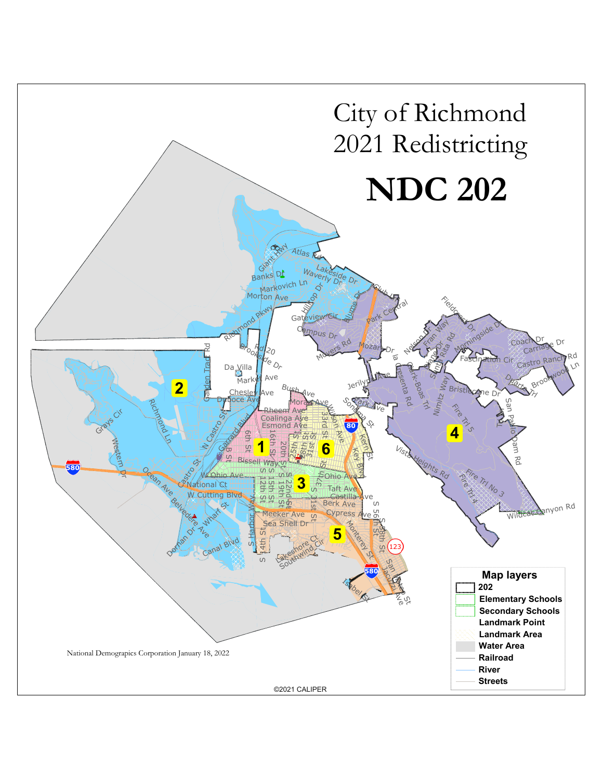